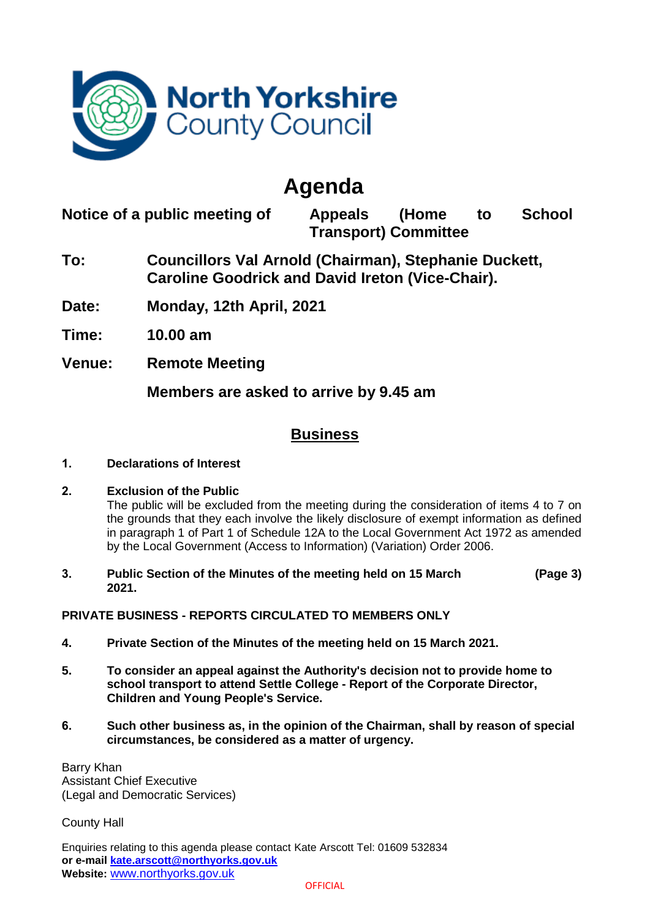

## **Agenda**

**Notice of a public meeting of Appeals (Home to School Transport) Committee**

- **To: Councillors Val Arnold (Chairman), Stephanie Duckett, Caroline Goodrick and David Ireton (Vice-Chair).**
- **Date: Monday, 12th April, 2021**

**Time: 10.00 am**

**Venue: Remote Meeting**

**Members are asked to arrive by 9.45 am**

## **Business**

**1. Declarations of Interest**

## **2. Exclusion of the Public**

The public will be excluded from the meeting during the consideration of items 4 to 7 on the grounds that they each involve the likely disclosure of exempt information as defined in paragraph 1 of Part 1 of Schedule 12A to the Local Government Act 1972 as amended by the Local Government (Access to Information) (Variation) Order 2006.

**3. Public Section of the Minutes of the meeting held on 15 March 2021. (Page 3)**

## **PRIVATE BUSINESS - REPORTS CIRCULATED TO MEMBERS ONLY**

- **4. Private Section of the Minutes of the meeting held on 15 March 2021.**
- **5. To consider an appeal against the Authority's decision not to provide home to school transport to attend Settle College - Report of the Corporate Director, Children and Young People's Service.**
- **6. Such other business as, in the opinion of the Chairman, shall by reason of special circumstances, be considered as a matter of urgency.**

Barry Khan Assistant Chief Executive (Legal and Democratic Services)

County Hall

Enquiries relating to this agenda please contact Kate Arscott Tel: 01609 532834 **or e-mail [kate.arscott@northyorks.gov.uk](mailto:kate.arscott@northyorks.gov.uk) Website:** [www.northyorks.gov.uk](http://www.northyorks.gov.uk/)